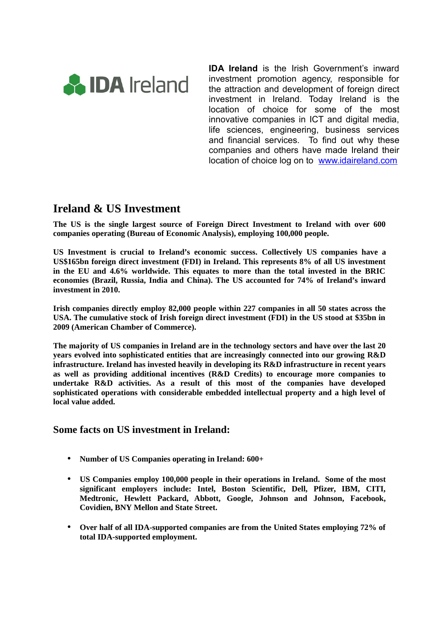

**IDA Ireland** is the Irish Government's inward investment promotion agency, responsible for the attraction and development of foreign direct investment in Ireland. Today Ireland is the location of choice for some of the most innovative companies in ICT and digital media, life sciences, engineering, business services and financial services. To find out why these companies and others have made Ireland their location of choice log on to [www.idaireland.com](http://www.idaireland.com/)

# **Ireland & US Investment**

**The US is the single largest source of Foreign Direct Investment to Ireland with over 600 companies operating (Bureau of Economic Analysis), employing 100,000 people.** 

**US Investment is crucial to Ireland's economic success. Collectively US companies have a US\$165bn foreign direct investment (FDI) in Ireland. This represents 8% of all US investment in the EU and 4.6% worldwide. This equates to more than the total invested in the BRIC economies (Brazil, Russia, India and China). The US accounted for 74% of Ireland's inward investment in 2010.** 

**Irish companies directly employ 82,000 people within 227 companies in all 50 states across the USA. The cumulative stock of Irish foreign direct investment (FDI) in the US stood at \$35bn in 2009 (American Chamber of Commerce).** 

**The majority of US companies in Ireland are in the technology sectors and have over the last 20 years evolved into sophisticated entities that are increasingly connected into our growing R&D infrastructure. Ireland has invested heavily in developing its R&D infrastructure in recent years as well as providing additional incentives (R&D Credits) to encourage more companies to undertake R&D activities. As a result of this most of the companies have developed sophisticated operations with considerable embedded intellectual property and a high level of local value added.**

#### **Some facts on US investment in Ireland:**

- **Number of US Companies operating in Ireland: 600+**
- **US Companies employ 100,000 people in their operations in Ireland. Some of the most significant employers include: Intel, Boston Scientific, Dell, Pfizer, IBM, CITI, Medtronic, Hewlett Packard, Abbott, Google, Johnson and Johnson, Facebook, Covidien, BNY Mellon and State Street.**
- **Over half of all IDA-supported companies are from the United States employing 72% of total IDA-supported employment.**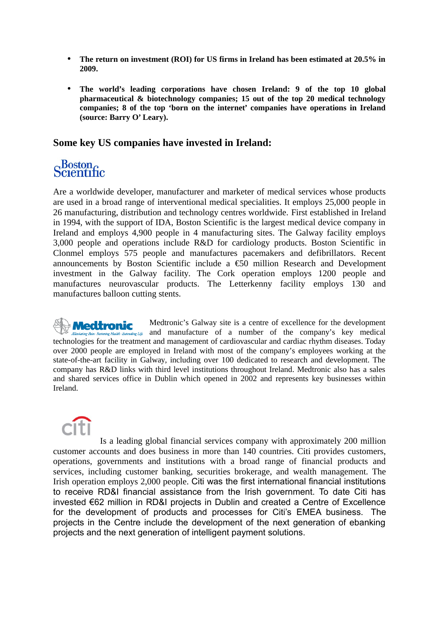- **The return on investment (ROI) for US firms in Ireland has been estimated at 20.5% in 2009.**
- **The world's leading corporations have chosen Ireland: 9 of the top 10 global pharmaceutical & biotechnology companies; 15 out of the top 20 medical technology companies; 8 of the top 'born on the internet' companies have operations in Ireland (source: Barry O' Leary).**

#### **Some key US companies have invested in Ireland:**

#### $\alpha$ Boston $\alpha$ Scientific

Are a worldwide developer, manufacturer and marketer of medical services whose products are used in a broad range of interventional medical specialities. It employs 25,000 people in 26 manufacturing, distribution and technology centres worldwide. First established in Ireland in 1994, with the support of IDA, Boston Scientific is the largest medical device company in Ireland and employs 4,900 people in 4 manufacturing sites. The Galway facility employs 3,000 people and operations include R&D for cardiology products. Boston Scientific in Clonmel employs 575 people and manufactures pacemakers and defibrillators. Recent announcements by Boston Scientific include a  $\epsilon$  50 million Research and Development investment in the Galway facility. The Cork operation employs 1200 people and manufactures neurovascular products. The Letterkenny facility employs 130 and manufactures balloon cutting stents.

Medtronic's Galway site is a centre of excellence for the development *Medtronic*  $\int_{\frac{f_{\text{diag}}}{f_{\text{diag}}}}$  and manufacture of a number of the company's key medical technologies for the treatment and management of cardiovascular and cardiac rhythm diseases. Today over 2000 people are employed in Ireland with most of the company's employees working at the state-of-the-art facility in Galway, including over 100 dedicated to research and development. The company has R&D links with third level institutions throughout Ireland. Medtronic also has a sales and shared services office in Dublin which opened in 2002 and represents key businesses within Ireland.

Is a leading global financial services company with approximately 200 million customer accounts and does business in more than 140 countries. Citi provides customers, operations, governments and institutions with a broad range of financial products and services, including customer banking, securities brokerage, and wealth management. The Irish operation employs 2,000 people. Citi was the first international financial institutions to receive RD&I financial assistance from the Irish government. To date Citi has invested €62 million in RD&I projects in Dublin and created a Centre of Excellence for the development of products and processes for Citi's EMEA business. The projects in the Centre include the development of the next generation of ebanking projects and the next generation of intelligent payment solutions.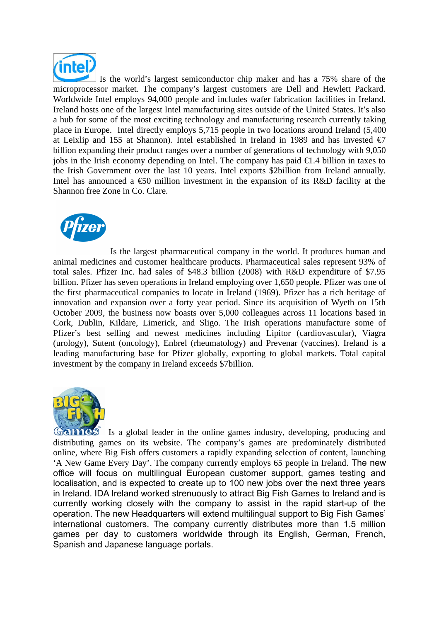

 Is the world's largest semiconductor chip maker and has a 75% share of the microprocessor market. The company's largest customers are Dell and Hewlett Packard. Worldwide Intel employs 94,000 people and includes wafer fabrication facilities in Ireland. Ireland hosts one of the largest Intel manufacturing sites outside of the United States. It's also a hub for some of the most exciting technology and manufacturing research currently taking place in Europe. Intel directly employs 5,715 people in two locations around Ireland (5,400 at Leixlip and 155 at Shannon). Intel established in Ireland in 1989 and has invested  $\epsilon$ 7 billion expanding their product ranges over a number of generations of technology with 9,050 jobs in the Irish economy depending on Intel. The company has paid  $\epsilon$ 1.4 billion in taxes to the Irish Government over the last 10 years. Intel exports \$2billion from Ireland annually. Intel has announced a  $\epsilon$ 50 million investment in the expansion of its R&D facility at the Shannon free Zone in Co. Clare.



Is the largest pharmaceutical company in the world. It produces human and animal medicines and customer healthcare products. Pharmaceutical sales represent 93% of total sales. Pfizer Inc. had sales of \$48.3 billion (2008) with R&D expenditure of \$7.95 billion. Pfizer has seven operations in Ireland employing over 1,650 people. Pfizer was one of the first pharmaceutical companies to locate in Ireland (1969). Pfizer has a rich heritage of innovation and expansion over a forty year period. Since its acquisition of Wyeth on 15th October 2009, the business now boasts over 5,000 colleagues across 11 locations based in Cork, Dublin, Kildare, Limerick, and Sligo. The Irish operations manufacture some of Pfizer's best selling and newest medicines including Lipitor (cardiovascular), Viagra (urology), Sutent (oncology), Enbrel (rheumatology) and Prevenar (vaccines). Ireland is a leading manufacturing base for Pfizer globally, exporting to global markets. Total capital investment by the company in Ireland exceeds \$7billion.



Games Is a global leader in the online games industry, developing, producing and distributing games on its website. The company's games are predominately distributed online, where Big Fish offers customers a rapidly expanding selection of content, launching 'A New Game Every Day'. The company currently employs 65 people in Ireland. The new office will focus on multilingual European customer support, games testing and localisation, and is expected to create up to 100 new jobs over the next three years in Ireland. IDA Ireland worked strenuously to attract Big Fish Games to Ireland and is currently working closely with the company to assist in the rapid start-up of the operation. The new Headquarters will extend multilingual support to Big Fish Games' international customers. The company currently distributes more than 1.5 million games per day to customers worldwide through its English, German, French, Spanish and Japanese language portals.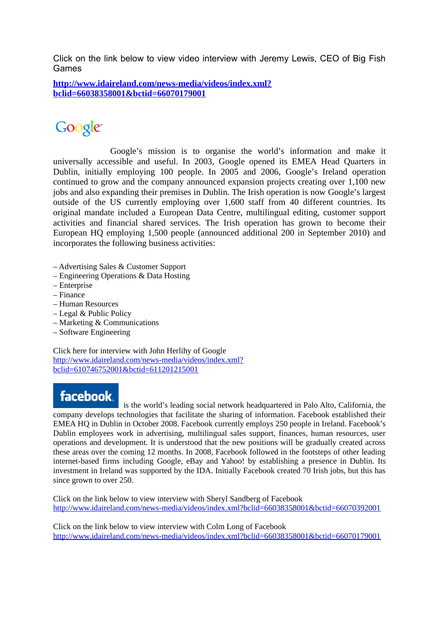Click on the link below to view video interview with Jeremy Lewis, CEO of Big Fish Games

**[http://www.idaireland.com/news-media/videos/index.xml?](http://www.idaireland.com/news-media/videos/index.xml?bclid=66038358001&bctid=66070179001) [bclid=66038358001&bctid=66070179001](http://www.idaireland.com/news-media/videos/index.xml?bclid=66038358001&bctid=66070179001)**

# Google

 Google's mission is to organise the world's information and make it universally accessible and useful. In 2003, Google opened its EMEA Head Quarters in Dublin, initially employing 100 people. In 2005 and 2006, Google's Ireland operation continued to grow and the company announced expansion projects creating over 1,100 new jobs and also expanding their premises in Dublin. The Irish operation is now Google's largest outside of the US currently employing over 1,600 staff from 40 different countries. Its original mandate included a European Data Centre, multilingual editing, customer support activities and financial shared services. The Irish operation has grown to become their European HQ employing 1,500 people (announced additional 200 in September 2010) and incorporates the following business activities:

- Advertising Sales & Customer Support
- Engineering Operations & Data Hosting
- Enterprise
- Finance
- Human Resources
- Legal & Public Policy
- Marketing & Communications
- Software Engineering

Click here for interview with John Herlihy of Google [http://www.idaireland.com/news-media/videos/index.xml?](http://www.idaireland.com/news-media/videos/index.xml?bclid=610746752001&bctid=611201215001) [bclid=610746752001&bctid=611201215001](http://www.idaireland.com/news-media/videos/index.xml?bclid=610746752001&bctid=611201215001)

# facebook.

 is the world's leading social network headquartered in Palo Alto, California, the company develops technologies that facilitate the sharing of information. Facebook established their EMEA HQ in Dublin in October 2008. Facebook currently employs 250 people in Ireland. Facebook's Dublin employees work in advertising, multilingual sales support, finances, human resources, user operations and development. It is understood that the new positions will be gradually created across these areas over the coming 12 months. In 2008, Facebook followed in the footsteps of other leading internet-based firms including Google, eBay and Yahoo! by establishing a presence in Dublin. Its investment in Ireland was supported by the IDA. Initially Facebook created 70 Irish jobs, but this has since grown to over 250.

Click on the link below to view interview with Sheryl Sandberg of Facebook <http://www.idaireland.com/news-media/videos/index.xml?bclid=66038358001&bctid=66070392001>

Click on the link below to view interview with Colm Long of Facebook <http://www.idaireland.com/news-media/videos/index.xml?bclid=66038358001&bctid=66070179001>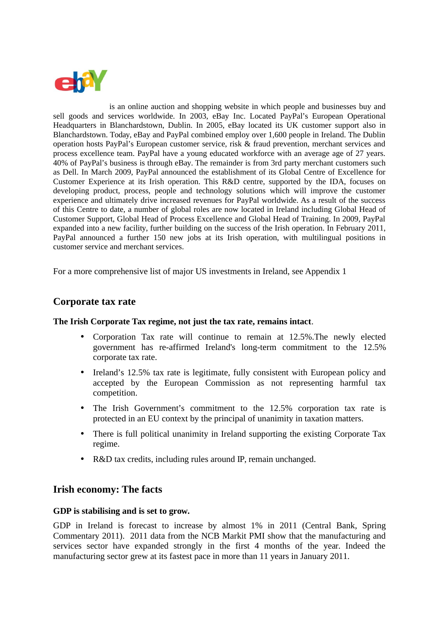

is an online auction and shopping website in which people and businesses buy and sell goods and services worldwide. In 2003, eBay Inc. Located PayPal's European Operational Headquarters in Blanchardstown, Dublin. In 2005, eBay located its UK customer support also in Blanchardstown. Today, eBay and PayPal combined employ over 1,600 people in Ireland. The Dublin operation hosts PayPal's European customer service, risk & fraud prevention, merchant services and process excellence team. PayPal have a young educated workforce with an average age of 27 years. 40% of PayPal's business is through eBay. The remainder is from 3rd party merchant customers such as Dell. In March 2009, PayPal announced the establishment of its Global Centre of Excellence for Customer Experience at its Irish operation. This R&D centre, supported by the IDA, focuses on developing product, process, people and technology solutions which will improve the customer experience and ultimately drive increased revenues for PayPal worldwide. As a result of the success of this Centre to date, a number of global roles are now located in Ireland including Global Head of Customer Support, Global Head of Process Excellence and Global Head of Training. In 2009, PayPal expanded into a new facility, further building on the success of the Irish operation. In February 2011, PayPal announced a further 150 new jobs at its Irish operation, with multilingual positions in customer service and merchant services.

For a more comprehensive list of major US investments in Ireland, see Appendix 1

#### **Corporate tax rate**

#### **The Irish Corporate Tax regime, not just the tax rate, remains intact**.

- Corporation Tax rate will continue to remain at 12.5%.The newly elected government has re-affirmed Ireland's long-term commitment to the 12.5% corporate tax rate.
- Ireland's 12.5% tax rate is legitimate, fully consistent with European policy and accepted by the European Commission as not representing harmful tax competition.
- The Irish Government's commitment to the 12.5% corporation tax rate is protected in an EU context by the principal of unanimity in taxation matters.
- There is full political unanimity in Ireland supporting the existing Corporate Tax regime.
- R&D tax credits, including rules around IP, remain unchanged.

#### **Irish economy: The facts**

#### **GDP is stabilising and is set to grow.**

GDP in Ireland is forecast to increase by almost 1% in 2011 (Central Bank, Spring Commentary 2011). 2011 data from the NCB Markit PMI show that the manufacturing and services sector have expanded strongly in the first 4 months of the year. Indeed the manufacturing sector grew at its fastest pace in more than 11 years in January 2011.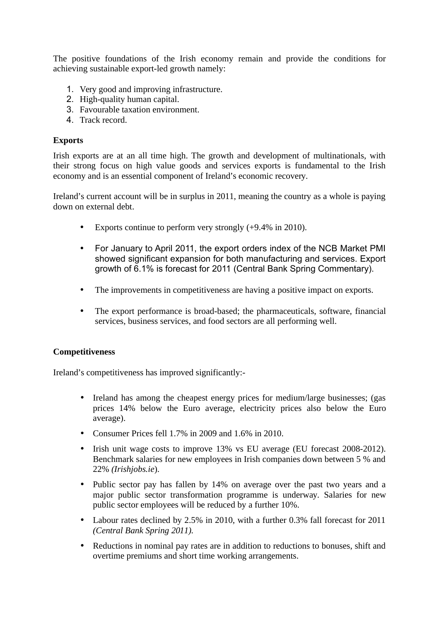The positive foundations of the Irish economy remain and provide the conditions for achieving sustainable export-led growth namely:

- 1. Very good and improving infrastructure.
- 2. High-quality human capital.
- 3. Favourable taxation environment.
- 4. Track record.

#### **Exports**

Irish exports are at an all time high. The growth and development of multinationals, with their strong focus on high value goods and services exports is fundamental to the Irish economy and is an essential component of Ireland's economic recovery.

Ireland's current account will be in surplus in 2011, meaning the country as a whole is paying down on external debt.

- Exports continue to perform very strongly (+9.4% in 2010).
- For January to April 2011, the export orders index of the NCB Market PMI showed significant expansion for both manufacturing and services. Export growth of 6.1% is forecast for 2011 (Central Bank Spring Commentary).
- The improvements in competitiveness are having a positive impact on exports.
- The export performance is broad-based; the pharmaceuticals, software, financial services, business services, and food sectors are all performing well.

#### **Competitiveness**

Ireland's competitiveness has improved significantly:-

- Ireland has among the cheapest energy prices for medium/large businesses; (gas prices 14% below the Euro average, electricity prices also below the Euro average).
- Consumer Prices fell 1.7% in 2009 and 1.6% in 2010.
- Irish unit wage costs to improve 13% vs EU average (EU forecast 2008-2012). Benchmark salaries for new employees in Irish companies down between 5 % and 22% *(Irishjobs.ie*).
- Public sector pay has fallen by 14% on average over the past two years and a major public sector transformation programme is underway. Salaries for new public sector employees will be reduced by a further 10%.
- Labour rates declined by 2.5% in 2010, with a further 0.3% fall forecast for 2011 *(Central Bank Spring 2011).*
- Reductions in nominal pay rates are in addition to reductions to bonuses, shift and overtime premiums and short time working arrangements.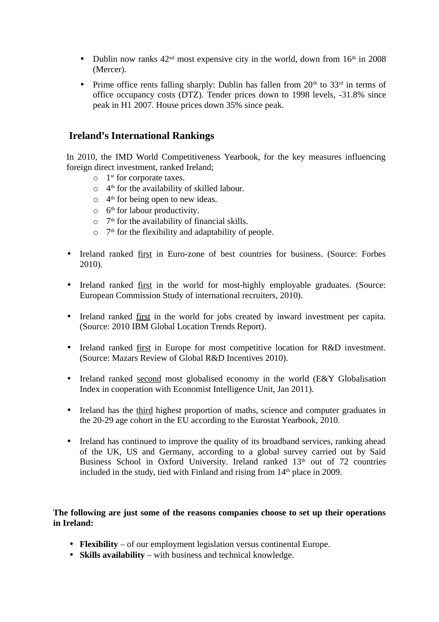- Dublin now ranks  $42<sup>nd</sup>$  most expensive city in the world, down from  $16<sup>th</sup>$  in 2008 (Mercer).
- Prime office rents falling sharply: Dublin has fallen from  $20<sup>th</sup>$  to  $33<sup>rd</sup>$  in terms of office occupancy costs (DTZ). Tender prices down to 1998 levels, -31.8% since peak in H1 2007. House prices down 35% since peak.

### **Ireland's International Rankings**

In 2010, the IMD World Competitiveness Yearbook, for the key measures influencing foreign direct investment, ranked Ireland;

- o 1 st for corporate taxes.
- $\circ$  4<sup>th</sup> for the availability of skilled labour.
- $\circ$  4<sup>th</sup> for being open to new ideas.
- $\circ$  6<sup>th</sup> for labour productivity.
- $\circ$  7<sup>th</sup> for the availability of financial skills.
- $\circ$  7<sup>th</sup> for the flexibility and adaptability of people.
- Ireland ranked first in Euro-zone of best countries for business. (Source: Forbes 2010).
- Ireland ranked first in the world for most-highly employable graduates. (Source: European Commission Study of international recruiters, 2010).
- Ireland ranked first in the world for jobs created by inward investment per capita. (Source: 2010 IBM Global Location Trends Report).
- Ireland ranked first in Europe for most competitive location for R&D investment. (Source: Mazars Review of Global R&D Incentives 2010).
- Ireland ranked second most globalised economy in the world (E&Y Globalisation Index in cooperation with Economist Intelligence Unit, Jan 2011).
- Ireland has the third highest proportion of maths, science and computer graduates in the 20-29 age cohort in the EU according to the Eurostat Yearbook, 2010.
- Ireland has continued to improve the quality of its broadband services, ranking ahead of the UK, US and Germany, according to a global survey carried out by Said Business School in Oxford University. Ireland ranked  $13<sup>th</sup>$  out of 72 countries included in the study, tied with Finland and rising from  $14<sup>th</sup>$  place in 2009.

#### **The following are just some of the reasons companies choose to set up their operations in Ireland:**

- **Flexibility** of our employment legislation versus continental Europe.
- **Skills availability** with business and technical knowledge.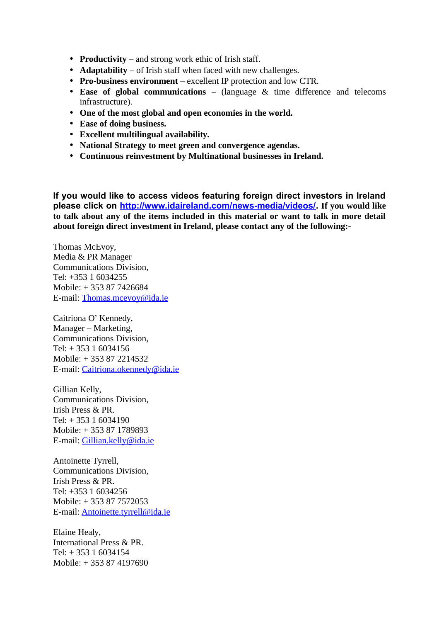- **Productivity** and strong work ethic of Irish staff.
- **Adaptability** of Irish staff when faced with new challenges.
- **Pro-business environment**  excellent IP protection and low CTR.
- **Ease of global communications** (language & time difference and telecoms infrastructure).
- **One of the most global and open economies in the world.**
- **Ease of doing business.**
- **Excellent multilingual availability.**
- **National Strategy to meet green and convergence agendas.**
- **Continuous reinvestment by Multinational businesses in Ireland.**

**If you would like to access videos featuring foreign direct investors in Ireland please click on [http://www.idaireland.com/news-media/videos/.](http://www.idaireland.com/news-media/videos/) If you would like to talk about any of the items included in this material or want to talk in more detail about foreign direct investment in Ireland, please contact any of the following:-** 

Thomas McEvoy, Media & PR Manager Communications Division, Tel: +353 1 6034255 Mobile: + 353 87 7426684 E-mail: [Thomas.mcevoy@ida.ie](mailto:Thomas.mcevoy@ida.ie)

Caitriona O' Kennedy, Manager – Marketing, Communications Division, Tel:  $+35316034156$ Mobile: + 353 87 2214532 E-mail: [Caitriona.okennedy@ida.ie](mailto:Caitriona.okennedy@ida.ie)

Gillian Kelly, Communications Division, Irish Press & PR. Tel: + 353 1 6034190 Mobile: + 353 87 1789893 E-mail: [Gillian.kelly@ida.ie](mailto:Gillian.kelly@ida.ie)

Antoinette Tyrrell, Communications Division, Irish Press & PR. Tel: +353 1 6034256 Mobile: + 353 87 7572053 E-mail: [Antoinette.tyrrell@ida.ie](mailto:Antoinette.tyrrell@ida.ie)

Elaine Healy, International Press & PR. Tel: + 353 1 6034154 Mobile: + 353 87 4197690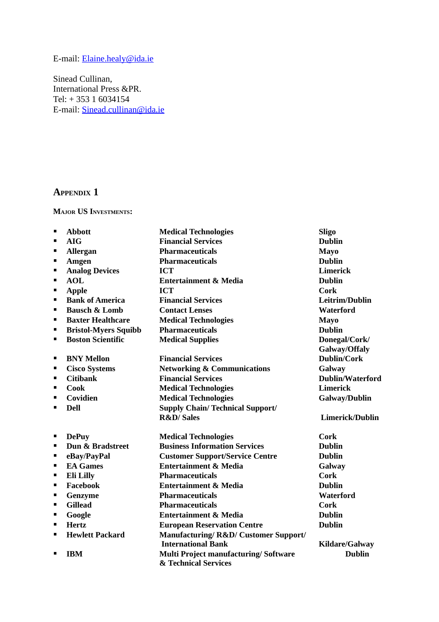# E-mail: [Elaine.healy@ida.ie](mailto:Elaine.healy@ida.ie)

Sinead Cullinan, International Press &PR. Tel: + 353 1 6034154 E-mail: [Sinead.cullinan@ida.ie](mailto:Sinead.cullinan@ida.ie)

## **APPENDIX 1**

#### **MAJOR US INVESTMENTS:**

| п              | <b>Abbott</b>               | <b>Medical Technologies</b>                                         | <b>Sligo</b>            |
|----------------|-----------------------------|---------------------------------------------------------------------|-------------------------|
| $\blacksquare$ | <b>AIG</b>                  | <b>Financial Services</b>                                           | <b>Dublin</b>           |
| п              | <b>Allergan</b>             | <b>Pharmaceuticals</b>                                              | <b>Mayo</b>             |
| $\blacksquare$ | Amgen                       | <b>Pharmaceuticals</b>                                              | <b>Dublin</b>           |
| ٠              | <b>Analog Devices</b>       | <b>ICT</b>                                                          | <b>Limerick</b>         |
| $\blacksquare$ | <b>AOL</b>                  | <b>Entertainment &amp; Media</b>                                    | <b>Dublin</b>           |
| п              | <b>Apple</b>                | <b>ICT</b>                                                          | <b>Cork</b>             |
| п              | <b>Bank of America</b>      | <b>Financial Services</b>                                           | Leitrim/Dublin          |
| п              | <b>Bausch &amp; Lomb</b>    | <b>Contact Lenses</b>                                               | <b>Waterford</b>        |
| п              | <b>Baxter Healthcare</b>    | <b>Medical Technologies</b>                                         | <b>Mayo</b>             |
| ٠              | <b>Bristol-Myers Squibb</b> | <b>Pharmaceuticals</b>                                              | <b>Dublin</b>           |
| п              | <b>Boston Scientific</b>    | <b>Medical Supplies</b>                                             | Donegal/Cork/           |
|                |                             |                                                                     | Galway/Offaly           |
| п              | <b>BNY Mellon</b>           | <b>Financial Services</b>                                           | <b>Dublin/Cork</b>      |
| п              | <b>Cisco Systems</b>        | <b>Networking &amp; Communications</b>                              | Galway                  |
| п              | <b>Citibank</b>             | <b>Financial Services</b>                                           | <b>Dublin/Waterford</b> |
| п              | <b>Cook</b>                 | <b>Medical Technologies</b>                                         | <b>Limerick</b>         |
| п              | Covidien                    | <b>Medical Technologies</b>                                         | Galway/Dublin           |
| $\blacksquare$ | <b>Dell</b>                 | <b>Supply Chain/Technical Support/</b>                              |                         |
|                |                             | <b>R&amp;D/Sales</b>                                                | Limerick/Dublin         |
| п              | <b>DePuy</b>                | <b>Medical Technologies</b>                                         | <b>Cork</b>             |
| п              | Dun & Bradstreet            | <b>Business Information Services</b>                                | <b>Dublin</b>           |
| ٠              | eBay/PayPal                 | <b>Customer Support/Service Centre</b>                              | <b>Dublin</b>           |
| п              | <b>EA</b> Games             | <b>Entertainment &amp; Media</b>                                    | Galway                  |
| п              | <b>Eli Lilly</b>            | <b>Pharmaceuticals</b>                                              | <b>Cork</b>             |
| ٠              | Facebook                    | <b>Entertainment &amp; Media</b>                                    | <b>Dublin</b>           |
| п              | Genzyme                     | <b>Pharmaceuticals</b>                                              | <b>Waterford</b>        |
| п              | <b>Gillead</b>              | <b>Pharmaceuticals</b>                                              | <b>Cork</b>             |
| ٠              | Google                      | <b>Entertainment &amp; Media</b>                                    | <b>Dublin</b>           |
| п              | <b>Hertz</b>                | <b>European Reservation Centre</b>                                  | <b>Dublin</b>           |
| п              | <b>Hewlett Packard</b>      | <b>Manufacturing/R&amp;D/ Customer Support/</b>                     |                         |
|                |                             | <b>International Bank</b>                                           | <b>Kildare/Galway</b>   |
| п              | <b>IBM</b>                  | <b>Multi Project manufacturing/Software</b><br>& Technical Services | <b>Dublin</b>           |